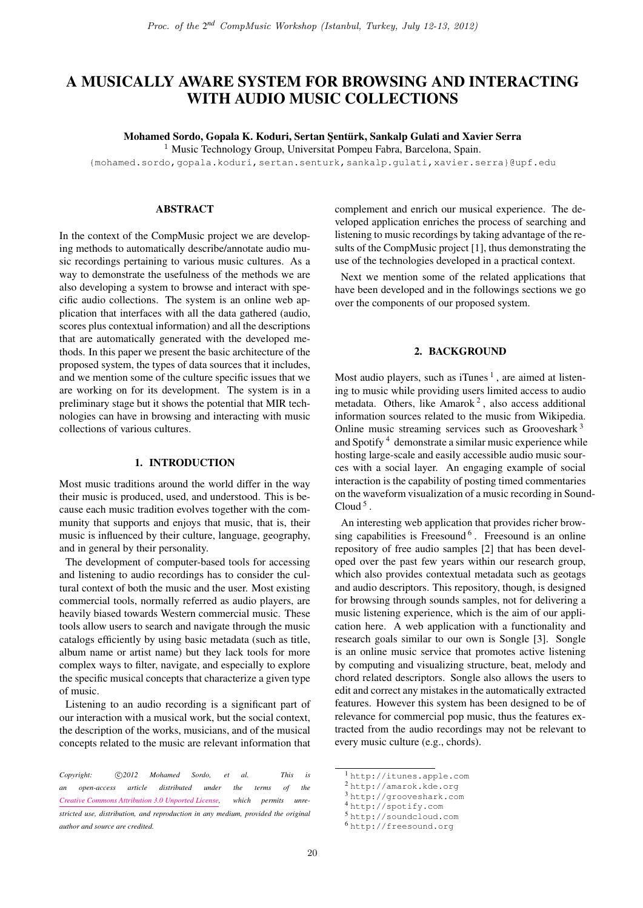# A MUSICALLY AWARE SYSTEM FOR BROWSING AND INTERACTING WITH AUDIO MUSIC COLLECTIONS

# Mohamed Sordo, Gopala K. Koduri, Sertan Şentürk, Sankalp Gulati and Xavier Serra

<sup>1</sup> Music Technology Group, Universitat Pompeu Fabra, Barcelona, Spain.

{mohamed.sordo,gopala.koduri,sertan.senturk,sankalp.gulati,xavier.serra}@upf.edu

# ABSTRACT

In the context of the CompMusic project we are developing methods to automatically describe/annotate audio music recordings pertaining to various music cultures. As a way to demonstrate the usefulness of the methods we are also developing a system to browse and interact with specific audio collections. The system is an online web application that interfaces with all the data gathered (audio, scores plus contextual information) and all the descriptions that are automatically generated with the developed methods. In this paper we present the basic architecture of the proposed system, the types of data sources that it includes, and we mention some of the culture specific issues that we are working on for its development. The system is in a preliminary stage but it shows the potential that MIR technologies can have in browsing and interacting with music collections of various cultures.

#### 1. INTRODUCTION

Most music traditions around the world differ in the way their music is produced, used, and understood. This is because each music tradition evolves together with the community that supports and enjoys that music, that is, their music is influenced by their culture, language, geography, and in general by their personality.

The development of computer-based tools for accessing and listening to audio recordings has to consider the cultural context of both the music and the user. Most existing commercial tools, normally referred as audio players, are heavily biased towards Western commercial music. These tools allow users to search and navigate through the music catalogs efficiently by using basic metadata (such as title, album name or artist name) but they lack tools for more complex ways to filter, navigate, and especially to explore the specific musical concepts that characterize a given type of music.

Listening to an audio recording is a significant part of our interaction with a musical work, but the social context, the description of the works, musicians, and of the musical concepts related to the music are relevant information that complement and enrich our musical experience. The developed application enriches the process of searching and listening to music recordings by taking advantage of the results of the CompMusic project [1], thus demonstrating the use of the technologies developed in a practical context.

Next we mention some of the related applications that have been developed and in the followings sections we go over the components of our proposed system.

## 2. BACKGROUND

Most audio players, such as iTunes<sup>1</sup>, are aimed at listening to music while providing users limited access to audio metadata. Others, like  $A$ marok<sup>2</sup>, also access additional information sources related to the music from Wikipedia. Online music streaming services such as Grooveshark <sup>3</sup> and Spotify <sup>4</sup> demonstrate a similar music experience while hosting large-scale and easily accessible audio music sources with a social layer. An engaging example of social interaction is the capability of posting timed commentaries on the waveform visualization of a music recording in Sound-Cloud  $5$ .

An interesting web application that provides richer browsing capabilities is Freesound  $<sup>6</sup>$ . Freesound is an online</sup> repository of free audio samples [2] that has been developed over the past few years within our research group, which also provides contextual metadata such as geotags and audio descriptors. This repository, though, is designed for browsing through sounds samples, not for delivering a music listening experience, which is the aim of our application here. A web application with a functionality and research goals similar to our own is Songle [3]. Songle is an online music service that promotes active listening by computing and visualizing structure, beat, melody and chord related descriptors. Songle also allows the users to edit and correct any mistakes in the automatically extracted features. However this system has been designed to be of relevance for commercial pop music, thus the features extracted from the audio recordings may not be relevant to every music culture (e.g., chords).

<sup>4</sup> http://spotify.com

*Copyright:*  $\bigcirc$  2012 Mohamed Sordo, et al. This is *an open-access article distributed under the terms of the Creative Commons Attribution 3.0 Unported License, which permits unrestricted use, distribution, and reproduction in any medium, provided the original author and source are credited.*

<sup>1</sup> http://itunes.apple.com

<sup>2</sup> http://amarok.kde.org

<sup>3</sup> http://grooveshark.com

<sup>5</sup> http://soundcloud.com

<sup>6</sup> http://freesound.org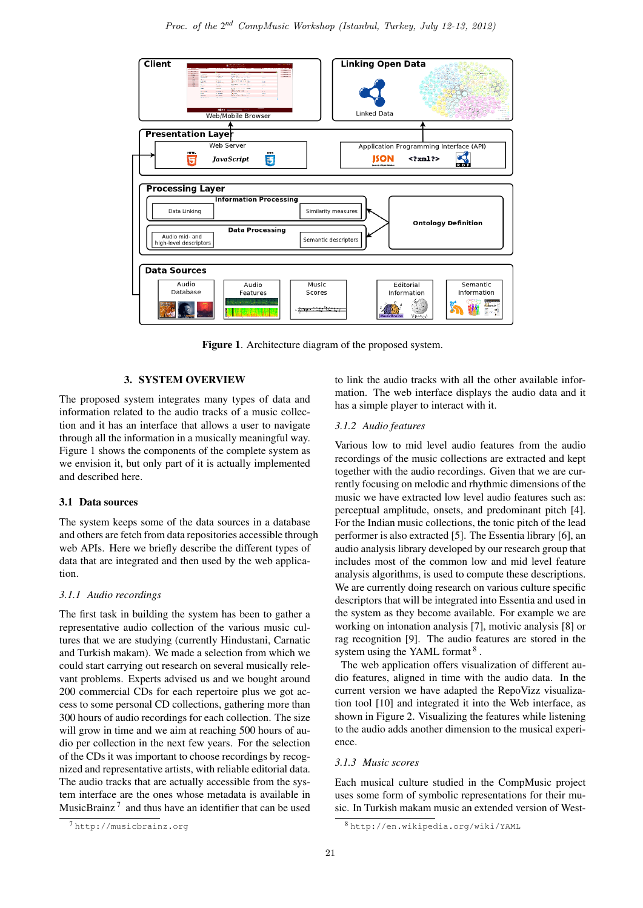

Figure 1. Architecture diagram of the proposed system.

# 3. SYSTEM OVERVIEW

The proposed system integrates many types of data and information related to the audio tracks of a music collection and it has an interface that allows a user to navigate through all the information in a musically meaningful way. Figure 1 shows the components of the complete system as we envision it, but only part of it is actually implemented and described here.

# 3.1 Data sources

The system keeps some of the data sources in a database and others are fetch from data repositories accessible through web APIs. Here we briefly describe the different types of data that are integrated and then used by the web application.

#### *3.1.1 Audio recordings*

The first task in building the system has been to gather a representative audio collection of the various music cultures that we are studying (currently Hindustani, Carnatic and Turkish makam). We made a selection from which we could start carrying out research on several musically relevant problems. Experts advised us and we bought around 200 commercial CDs for each repertoire plus we got access to some personal CD collections, gathering more than 300 hours of audio recordings for each collection. The size will grow in time and we aim at reaching 500 hours of audio per collection in the next few years. For the selection of the CDs it was important to choose recordings by recognized and representative artists, with reliable editorial data. The audio tracks that are actually accessible from the system interface are the ones whose metadata is available in MusicBrainz<sup>7</sup> and thus have an identifier that can be used

to link the audio tracks with all the other available information. The web interface displays the audio data and it has a simple player to interact with it.

#### *3.1.2 Audio features*

Various low to mid level audio features from the audio recordings of the music collections are extracted and kept together with the audio recordings. Given that we are currently focusing on melodic and rhythmic dimensions of the music we have extracted low level audio features such as: perceptual amplitude, onsets, and predominant pitch [4]. For the Indian music collections, the tonic pitch of the lead performer is also extracted [5]. The Essentia library [6], an audio analysis library developed by our research group that includes most of the common low and mid level feature analysis algorithms, is used to compute these descriptions. We are currently doing research on various culture specific descriptors that will be integrated into Essentia and used in the system as they become available. For example we are working on intonation analysis [7], motivic analysis [8] or rag recognition [9]. The audio features are stored in the system using the YAML format <sup>8</sup>.

The web application offers visualization of different audio features, aligned in time with the audio data. In the current version we have adapted the RepoVizz visualization tool [10] and integrated it into the Web interface, as shown in Figure 2. Visualizing the features while listening to the audio adds another dimension to the musical experience.

## *3.1.3 Music scores*

Each musical culture studied in the CompMusic project uses some form of symbolic representations for their music. In Turkish makam music an extended version of West-

<sup>7</sup> http://musicbrainz.org

<sup>8</sup> http://en.wikipedia.org/wiki/YAML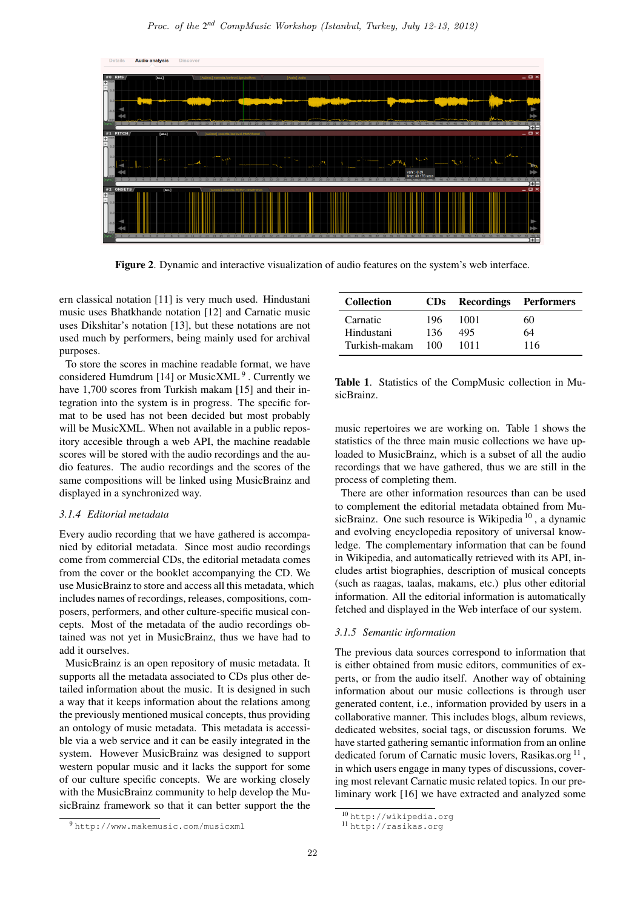

Figure 2. Dynamic and interactive visualization of audio features on the system's web interface.

ern classical notation [11] is very much used. Hindustani music uses Bhatkhande notation [12] and Carnatic music uses Dikshitar's notation [13], but these notations are not used much by performers, being mainly used for archival purposes.

To store the scores in machine readable format, we have considered Humdrum [14] or Music $XML<sup>9</sup>$ . Currently we have 1,700 scores from Turkish makam [15] and their integration into the system is in progress. The specific format to be used has not been decided but most probably will be MusicXML. When not available in a public repository accesible through a web API, the machine readable scores will be stored with the audio recordings and the audio features. The audio recordings and the scores of the same compositions will be linked using MusicBrainz and displayed in a synchronized way.

# *3.1.4 Editorial metadata*

Every audio recording that we have gathered is accompanied by editorial metadata. Since most audio recordings come from commercial CDs, the editorial metadata comes from the cover or the booklet accompanying the CD. We use MusicBrainz to store and access all this metadata, which includes names of recordings, releases, compositions, composers, performers, and other culture-specific musical concepts. Most of the metadata of the audio recordings obtained was not yet in MusicBrainz, thus we have had to add it ourselves.

MusicBrainz is an open repository of music metadata. It supports all the metadata associated to CDs plus other detailed information about the music. It is designed in such a way that it keeps information about the relations among the previously mentioned musical concepts, thus providing an ontology of music metadata. This metadata is accessible via a web service and it can be easily integrated in the system. However MusicBrainz was designed to support western popular music and it lacks the support for some of our culture specific concepts. We are working closely with the MusicBrainz community to help develop the MusicBrainz framework so that it can better support the the

| <b>Collection</b> |     | CDs Recordings Performers |     |
|-------------------|-----|---------------------------|-----|
| Carnatic          | 196 | 1001                      | 60  |
| Hindustani        | 136 | 495                       | 64  |
| Turkish-makam     | 100 | 1011                      | 116 |

Table 1. Statistics of the CompMusic collection in MusicBrainz.

music repertoires we are working on. Table 1 shows the statistics of the three main music collections we have uploaded to MusicBrainz, which is a subset of all the audio recordings that we have gathered, thus we are still in the process of completing them.

There are other information resources than can be used to complement the editorial metadata obtained from MusicBrainz. One such resource is Wikipedia <sup>10</sup>, a dynamic and evolving encyclopedia repository of universal knowledge. The complementary information that can be found in Wikipedia, and automatically retrieved with its API, includes artist biographies, description of musical concepts (such as raagas, taalas, makams, etc.) plus other editorial information. All the editorial information is automatically fetched and displayed in the Web interface of our system.

# *3.1.5 Semantic information*

The previous data sources correspond to information that is either obtained from music editors, communities of experts, or from the audio itself. Another way of obtaining information about our music collections is through user generated content, i.e., information provided by users in a collaborative manner. This includes blogs, album reviews, dedicated websites, social tags, or discussion forums. We have started gathering semantic information from an online dedicated forum of Carnatic music lovers, Rasikas.org<sup>11</sup>, in which users engage in many types of discussions, covering most relevant Carnatic music related topics. In our preliminary work [16] we have extracted and analyzed some

<sup>9</sup> http://www.makemusic.com/musicxml

<sup>10</sup> http://wikipedia.org

<sup>11</sup> http://rasikas.org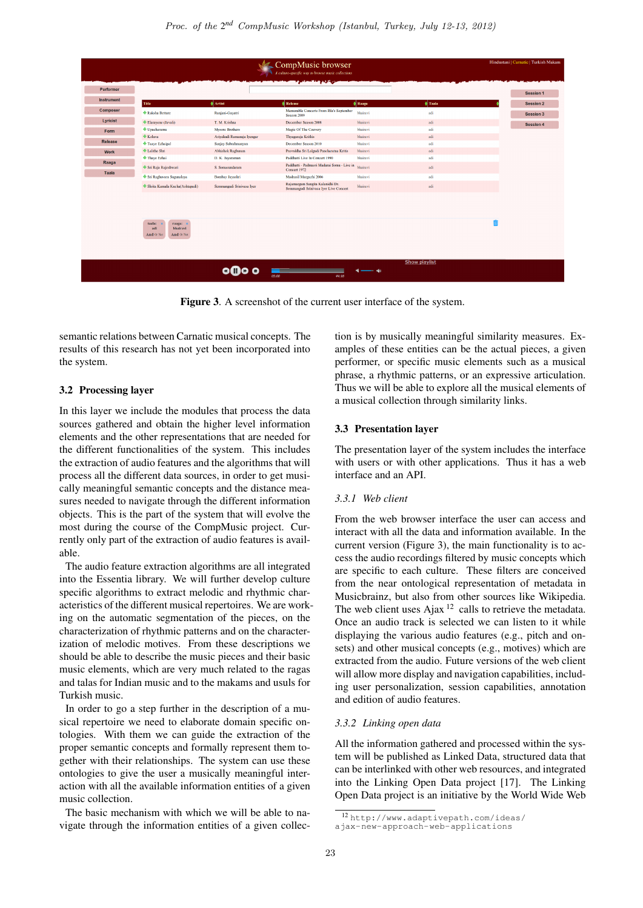|                   | Hindustani   Carnatic   Turkish Makam<br>CompMusic browser<br>A culture-specific way to browse music collections<br>سوار <mark>تكراري باد كالاستناقان ول</mark> يا |                            |                                                                            |                |                 |                  |  |
|-------------------|--------------------------------------------------------------------------------------------------------------------------------------------------------------------|----------------------------|----------------------------------------------------------------------------|----------------|-----------------|------------------|--|
| Performer         |                                                                                                                                                                    |                            |                                                                            |                |                 | <b>Session 1</b> |  |
| <b>Instrument</b> |                                                                                                                                                                    |                            |                                                                            |                |                 |                  |  |
|                   | Title                                                                                                                                                              | $\triangle$ Artist         | <b>Release</b>                                                             | <b>C</b> Raaga | $\bullet$ Taala | <b>Session 2</b> |  |
| <b>Composer</b>   | <b>+ Raksha Bettare</b>                                                                                                                                            | Ranjani-Gayatri            | Memorable Concerts From Rfa's September<br>Season 2009                     | bhairavi       | adi             | <b>Session 3</b> |  |
| Lyricist          | + Elarayene (Javali)                                                                                                                                               | T. M. Krishna              | December Season 2008                                                       | bhairavi       | adi             | <b>Session 4</b> |  |
| Form              | + Upacharamu                                                                                                                                                       | <b>Mysore Brothers</b>     | Magic Of The Cauvery                                                       | bhairavi       | adi             |                  |  |
|                   | $*$ Koluva                                                                                                                                                         | Ariyakudi Ramanuja Iyengar | Thyagaraja Krithis                                                         | bhairavi       | adi             |                  |  |
| <b>Release</b>    | + Taave Ezhaipal                                                                                                                                                   | Sanjay Subrahmanyan        | December Season 2010                                                       | bhairavi       | adi             |                  |  |
| <b>Work</b>       | + Lalithe Shri                                                                                                                                                     | Abhishek Raghuram          | Pravrddha Sri Lalgudi Pancharatna Kritis                                   | bhairavi       | adi             |                  |  |
| Raaga             | + Thaye Ezhai                                                                                                                                                      | D. K. Jayaraman            | Paddhatti Live In Concert 1990                                             | bhairavi       | adi             |                  |  |
|                   | Sri Raja Rajeshwari                                                                                                                                                | S. Somasundaram            | Paddhatti - Padmasri Madurai Somu - Live in<br>Concert 1972                | bhairavi       | adi             |                  |  |
| Taala             | Sri Raghuvara Sugunalaya                                                                                                                                           | Bombay Jayashri            | Madrasil Margazhi 2006                                                     | bhairavi       | adi             |                  |  |
|                   | Shrita Kamala Kucha(Ashtapadi)                                                                                                                                     | Semmangudi Srinivasa Iyer  | Rajamargam Sangita Kalanidhi Dr.<br>Semmangudi Srinivasa Iver Live Concert | bhairavi       | adi             |                  |  |
|                   | taala:<br>raaga: *<br>bhairavi<br>adi<br>And Or Not<br>And Or Not                                                                                                  |                            |                                                                            |                |                 |                  |  |
|                   |                                                                                                                                                                    | oMo o                      | 05:00<br>44:18                                                             |                | Show playlist   |                  |  |

Figure 3. A screenshot of the current user interface of the system.

semantic relations between Carnatic musical concepts. The results of this research has not yet been incorporated into the system.

#### 3.2 Processing layer

In this layer we include the modules that process the data sources gathered and obtain the higher level information elements and the other representations that are needed for the different functionalities of the system. This includes the extraction of audio features and the algorithms that will process all the different data sources, in order to get musically meaningful semantic concepts and the distance measures needed to navigate through the different information objects. This is the part of the system that will evolve the most during the course of the CompMusic project. Currently only part of the extraction of audio features is available.

The audio feature extraction algorithms are all integrated into the Essentia library. We will further develop culture specific algorithms to extract melodic and rhythmic characteristics of the different musical repertoires. We are working on the automatic segmentation of the pieces, on the characterization of rhythmic patterns and on the characterization of melodic motives. From these descriptions we should be able to describe the music pieces and their basic music elements, which are very much related to the ragas and talas for Indian music and to the makams and usuls for Turkish music.

In order to go a step further in the description of a musical repertoire we need to elaborate domain specific ontologies. With them we can guide the extraction of the proper semantic concepts and formally represent them together with their relationships. The system can use these ontologies to give the user a musically meaningful interaction with all the available information entities of a given music collection.

The basic mechanism with which we will be able to navigate through the information entities of a given collection is by musically meaningful similarity measures. Examples of these entities can be the actual pieces, a given performer, or specific music elements such as a musical phrase, a rhythmic patterns, or an expressive articulation. Thus we will be able to explore all the musical elements of a musical collection through similarity links.

#### 3.3 Presentation layer

The presentation layer of the system includes the interface with users or with other applications. Thus it has a web interface and an API.

#### *3.3.1 Web client*

From the web browser interface the user can access and interact with all the data and information available. In the current version (Figure 3), the main functionality is to access the audio recordings filtered by music concepts which are specific to each culture. These filters are conceived from the near ontological representation of metadata in Musicbrainz, but also from other sources like Wikipedia. The web client uses  $A$ jax  $12$  calls to retrieve the metadata. Once an audio track is selected we can listen to it while displaying the various audio features (e.g., pitch and onsets) and other musical concepts (e.g., motives) which are extracted from the audio. Future versions of the web client will allow more display and navigation capabilities, including user personalization, session capabilities, annotation and edition of audio features.

#### *3.3.2 Linking open data*

All the information gathered and processed within the system will be published as Linked Data, structured data that can be interlinked with other web resources, and integrated into the Linking Open Data project [17]. The Linking Open Data project is an initiative by the World Wide Web

<sup>12</sup> http://www.adaptivepath.com/ideas/

ajax-new-approach-web-applications